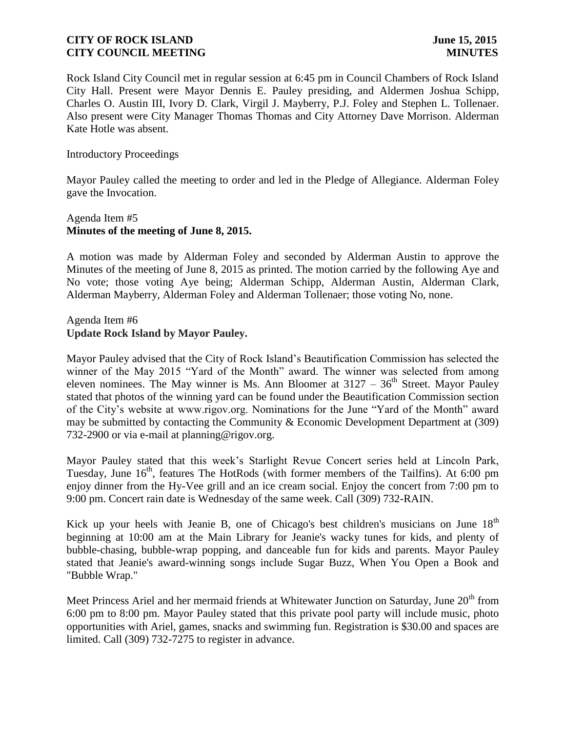Rock Island City Council met in regular session at 6:45 pm in Council Chambers of Rock Island City Hall. Present were Mayor Dennis E. Pauley presiding, and Aldermen Joshua Schipp, Charles O. Austin III, Ivory D. Clark, Virgil J. Mayberry, P.J. Foley and Stephen L. Tollenaer. Also present were City Manager Thomas Thomas and City Attorney Dave Morrison. Alderman Kate Hotle was absent.

### Introductory Proceedings

Mayor Pauley called the meeting to order and led in the Pledge of Allegiance. Alderman Foley gave the Invocation.

# Agenda Item #5 **Minutes of the meeting of June 8, 2015.**

A motion was made by Alderman Foley and seconded by Alderman Austin to approve the Minutes of the meeting of June 8, 2015 as printed. The motion carried by the following Aye and No vote; those voting Aye being; Alderman Schipp, Alderman Austin, Alderman Clark, Alderman Mayberry, Alderman Foley and Alderman Tollenaer; those voting No, none.

### Agenda Item #6 **Update Rock Island by Mayor Pauley.**

Mayor Pauley advised that the City of Rock Island's Beautification Commission has selected the winner of the May 2015 "Yard of the Month" award. The winner was selected from among eleven nominees. The May winner is Ms. Ann Bloomer at  $3127 - 36<sup>th</sup>$  Street. Mayor Pauley stated that photos of the winning yard can be found under the Beautification Commission section of the City's website at www.rigov.org. Nominations for the June "Yard of the Month" award may be submitted by contacting the Community & Economic Development Department at (309) 732-2900 or via e-mail at planning@rigov.org.

Mayor Pauley stated that this week's Starlight Revue Concert series held at Lincoln Park, Tuesday, June 16<sup>th</sup>, features The HotRods (with former members of the Tailfins). At 6:00 pm enjoy dinner from the Hy-Vee grill and an ice cream social. Enjoy the concert from 7:00 pm to 9:00 pm. Concert rain date is Wednesday of the same week. Call (309) 732-RAIN.

Kick up your heels with Jeanie B, one of Chicago's best children's musicians on June  $18<sup>th</sup>$ beginning at 10:00 am at the Main Library for Jeanie's wacky tunes for kids, and plenty of bubble-chasing, bubble-wrap popping, and danceable fun for kids and parents. Mayor Pauley stated that Jeanie's award-winning songs include Sugar Buzz, When You Open a Book and "Bubble Wrap."

Meet Princess Ariel and her mermaid friends at Whitewater Junction on Saturday, June 20<sup>th</sup> from 6:00 pm to 8:00 pm. Mayor Pauley stated that this private pool party will include music, photo opportunities with Ariel, games, snacks and swimming fun. Registration is \$30.00 and spaces are limited. Call (309) 732-7275 to register in advance.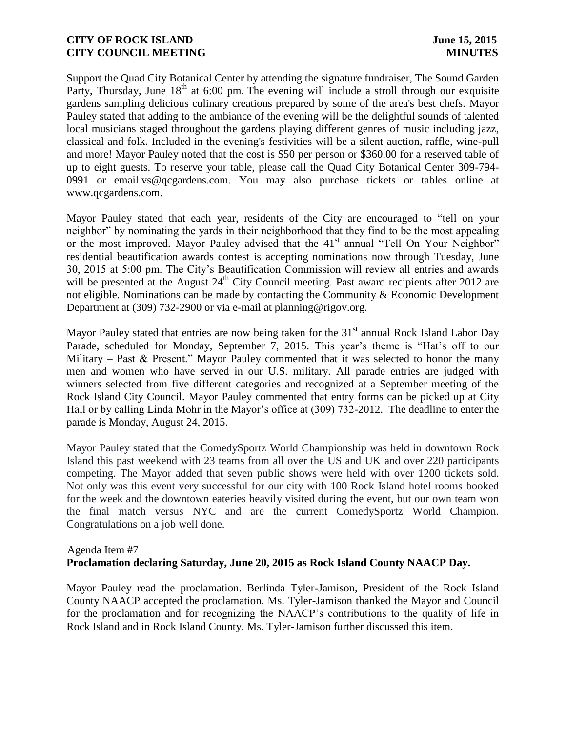Support the Quad City Botanical Center by attending the signature fundraiser, The Sound Garden Party, Thursday, June  $18<sup>th</sup>$  at 6:00 pm. The evening will include a stroll through our exquisite gardens sampling delicious culinary creations prepared by some of the area's best chefs. Mayor Pauley stated that adding to the ambiance of the evening will be the delightful sounds of talented local musicians staged throughout the gardens playing different genres of music including jazz, classical and folk. Included in the evening's festivities will be a silent auction, raffle, wine-pull and more! Mayor Pauley noted that the cost is \$50 per person or \$360.00 for a reserved table of up to eight guests. To reserve your table, please call the Quad City Botanical Center 309-794- 0991 or email vs@qcgardens.com. You may also purchase tickets or tables online at www.qcgardens.com.

Mayor Pauley stated that each year, residents of the City are encouraged to "tell on your neighbor" by nominating the yards in their neighborhood that they find to be the most appealing or the most improved. Mayor Pauley advised that the 41<sup>st</sup> annual "Tell On Your Neighbor" residential beautification awards contest is accepting nominations now through Tuesday, June 30, 2015 at 5:00 pm. The City's Beautification Commission will review all entries and awards will be presented at the August 24<sup>th</sup> City Council meeting. Past award recipients after 2012 are not eligible. Nominations can be made by contacting the Community & Economic Development Department at (309) 732-2900 or via e-mail at planning@rigov.org.

Mayor Pauley stated that entries are now being taken for the  $31<sup>st</sup>$  annual Rock Island Labor Day Parade, scheduled for Monday, September 7, 2015. This year's theme is "Hat's off to our Military – Past & Present." Mayor Pauley commented that it was selected to honor the many men and women who have served in our U.S. military. All parade entries are judged with winners selected from five different categories and recognized at a September meeting of the Rock Island City Council. Mayor Pauley commented that entry forms can be picked up at City Hall or by calling Linda Mohr in the Mayor's office at (309) 732-2012. The deadline to enter the parade is Monday, August 24, 2015.

Mayor Pauley stated that the ComedySportz World Championship was held in downtown Rock Island this past weekend with 23 teams from all over the US and UK and over 220 participants competing. The Mayor added that seven public shows were held with over 1200 tickets sold. Not only was this event very successful for our city with 100 Rock Island hotel rooms booked for the week and the downtown eateries heavily visited during the event, but our own team won the final match versus NYC and are the current ComedySportz World Champion. Congratulations on a job well done.

#### Agenda Item #7

# **Proclamation declaring Saturday, June 20, 2015 as Rock Island County NAACP Day.**

Mayor Pauley read the proclamation. Berlinda Tyler-Jamison, President of the Rock Island County NAACP accepted the proclamation. Ms. Tyler-Jamison thanked the Mayor and Council for the proclamation and for recognizing the NAACP's contributions to the quality of life in Rock Island and in Rock Island County. Ms. Tyler-Jamison further discussed this item.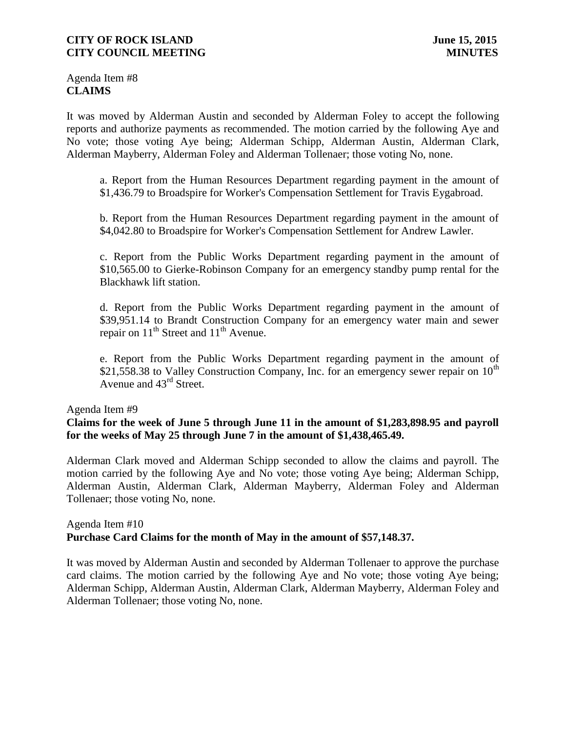Agenda Item #8 **CLAIMS**

It was moved by Alderman Austin and seconded by Alderman Foley to accept the following reports and authorize payments as recommended. The motion carried by the following Aye and No vote; those voting Aye being; Alderman Schipp, Alderman Austin, Alderman Clark, Alderman Mayberry, Alderman Foley and Alderman Tollenaer; those voting No, none.

a. Report from the Human Resources Department regarding payment in the amount of \$1,436.79 to Broadspire for Worker's Compensation Settlement for Travis Eygabroad.

b. Report from the Human Resources Department regarding payment in the amount of \$4,042.80 to Broadspire for Worker's Compensation Settlement for Andrew Lawler.

c. Report from the Public Works Department regarding payment in the amount of \$10,565.00 to Gierke-Robinson Company for an emergency standby pump rental for the Blackhawk lift station.

d. Report from the Public Works Department regarding payment in the amount of \$39,951.14 to Brandt Construction Company for an emergency water main and sewer repair on  $11<sup>th</sup>$  Street and  $11<sup>th</sup>$  Avenue.

e. Report from the Public Works Department regarding payment in the amount of \$21,558.38 to Valley Construction Company, Inc. for an emergency sewer repair on  $10^{th}$ Avenue and 43<sup>rd</sup> Street.

#### Agenda Item #9

# **Claims for the week of June 5 through June 11 in the amount of \$1,283,898.95 and payroll for the weeks of May 25 through June 7 in the amount of \$1,438,465.49.**

Alderman Clark moved and Alderman Schipp seconded to allow the claims and payroll. The motion carried by the following Aye and No vote; those voting Aye being; Alderman Schipp, Alderman Austin, Alderman Clark, Alderman Mayberry, Alderman Foley and Alderman Tollenaer; those voting No, none.

### Agenda Item #10 **Purchase Card Claims for the month of May in the amount of \$57,148.37.**

It was moved by Alderman Austin and seconded by Alderman Tollenaer to approve the purchase card claims. The motion carried by the following Aye and No vote; those voting Aye being; Alderman Schipp, Alderman Austin, Alderman Clark, Alderman Mayberry, Alderman Foley and Alderman Tollenaer; those voting No, none.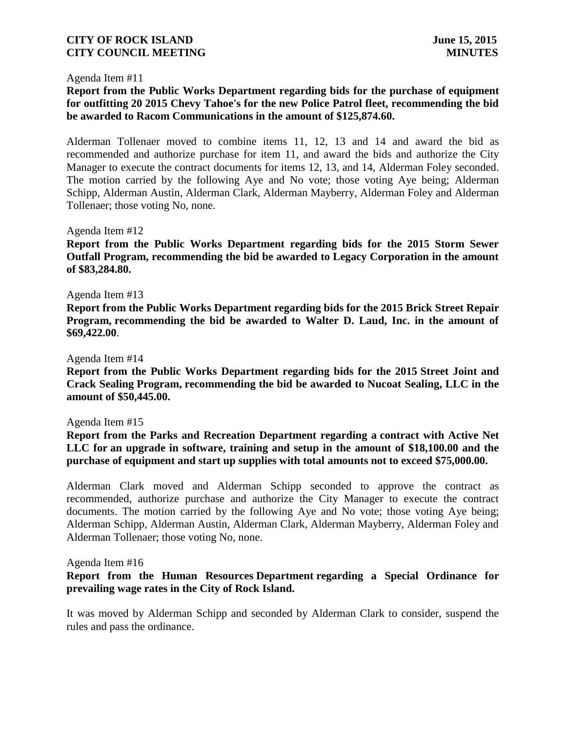#### Agenda Item #11

# **Report from the Public Works Department regarding bids for the purchase of equipment for outfitting 20 2015 Chevy Tahoe's for the new Police Patrol fleet, recommending the bid be awarded to Racom Communications in the amount of \$125,874.60.**

Alderman Tollenaer moved to combine items 11, 12, 13 and 14 and award the bid as recommended and authorize purchase for item 11, and award the bids and authorize the City Manager to execute the contract documents for items 12, 13, and 14, Alderman Foley seconded. The motion carried by the following Aye and No vote; those voting Aye being; Alderman Schipp, Alderman Austin, Alderman Clark, Alderman Mayberry, Alderman Foley and Alderman Tollenaer; those voting No, none.

#### Agenda Item #12

**Report from the Public Works Department regarding bids for the 2015 Storm Sewer Outfall Program, recommending the bid be awarded to Legacy Corporation in the amount of \$83,284.80.**

#### Agenda Item #13

**Report from the Public Works Department regarding bids for the 2015 Brick Street Repair Program, recommending the bid be awarded to Walter D. Laud, Inc. in the amount of \$69,422.00**.

#### Agenda Item #14

**Report from the Public Works Department regarding bids for the 2015 Street Joint and Crack Sealing Program, recommending the bid be awarded to Nucoat Sealing, LLC in the amount of \$50,445.00.**

#### Agenda Item #15

**Report from the Parks and Recreation Department regarding a contract with Active Net LLC for an upgrade in software, training and setup in the amount of \$18,100.00 and the purchase of equipment and start up supplies with total amounts not to exceed \$75,000.00.**

Alderman Clark moved and Alderman Schipp seconded to approve the contract as recommended, authorize purchase and authorize the City Manager to execute the contract documents. The motion carried by the following Aye and No vote; those voting Aye being; Alderman Schipp, Alderman Austin, Alderman Clark, Alderman Mayberry, Alderman Foley and Alderman Tollenaer; those voting No, none.

#### Agenda Item #16

### **Report from the Human Resources Department regarding a Special Ordinance for prevailing wage rates in the City of Rock Island.**

It was moved by Alderman Schipp and seconded by Alderman Clark to consider, suspend the rules and pass the ordinance.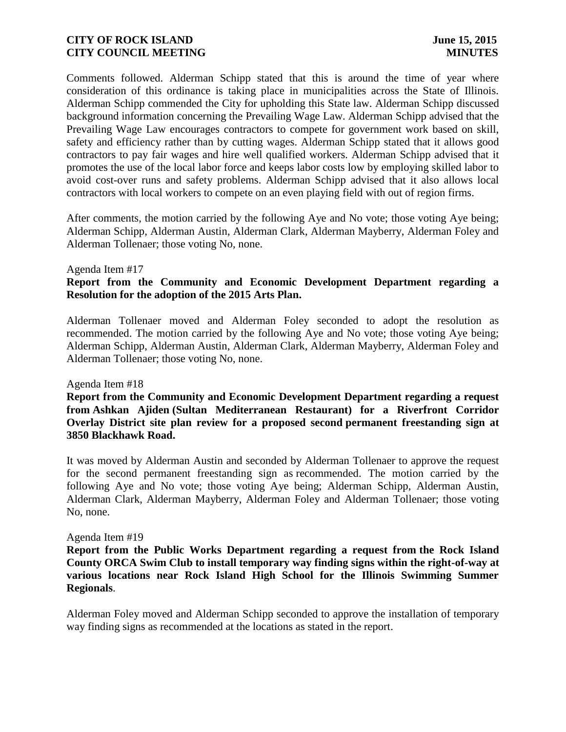Comments followed. Alderman Schipp stated that this is around the time of year where consideration of this ordinance is taking place in municipalities across the State of Illinois. Alderman Schipp commended the City for upholding this State law. Alderman Schipp discussed background information concerning the Prevailing Wage Law. Alderman Schipp advised that the Prevailing Wage Law encourages contractors to compete for government work based on skill, safety and efficiency rather than by cutting wages. Alderman Schipp stated that it allows good contractors to pay fair wages and hire well qualified workers. Alderman Schipp advised that it promotes the use of the local labor force and keeps labor costs low by employing skilled labor to avoid cost-over runs and safety problems. Alderman Schipp advised that it also allows local contractors with local workers to compete on an even playing field with out of region firms.

After comments, the motion carried by the following Aye and No vote; those voting Aye being; Alderman Schipp, Alderman Austin, Alderman Clark, Alderman Mayberry, Alderman Foley and Alderman Tollenaer; those voting No, none.

#### Agenda Item #17

# **Report from the Community and Economic Development Department regarding a Resolution for the adoption of the 2015 Arts Plan.**

Alderman Tollenaer moved and Alderman Foley seconded to adopt the resolution as recommended. The motion carried by the following Aye and No vote; those voting Aye being; Alderman Schipp, Alderman Austin, Alderman Clark, Alderman Mayberry, Alderman Foley and Alderman Tollenaer; those voting No, none.

#### Agenda Item #18

**Report from the Community and Economic Development Department regarding a request from Ashkan Ajiden (Sultan Mediterranean Restaurant) for a Riverfront Corridor Overlay District site plan review for a proposed second permanent freestanding sign at 3850 Blackhawk Road.**

It was moved by Alderman Austin and seconded by Alderman Tollenaer to approve the request for the second permanent freestanding sign as recommended. The motion carried by the following Aye and No vote; those voting Aye being; Alderman Schipp, Alderman Austin, Alderman Clark, Alderman Mayberry, Alderman Foley and Alderman Tollenaer; those voting No, none.

#### Agenda Item #19

**Report from the Public Works Department regarding a request from the Rock Island County ORCA Swim Club to install temporary way finding signs within the right-of-way at various locations near Rock Island High School for the Illinois Swimming Summer Regionals**.

Alderman Foley moved and Alderman Schipp seconded to approve the installation of temporary way finding signs as recommended at the locations as stated in the report.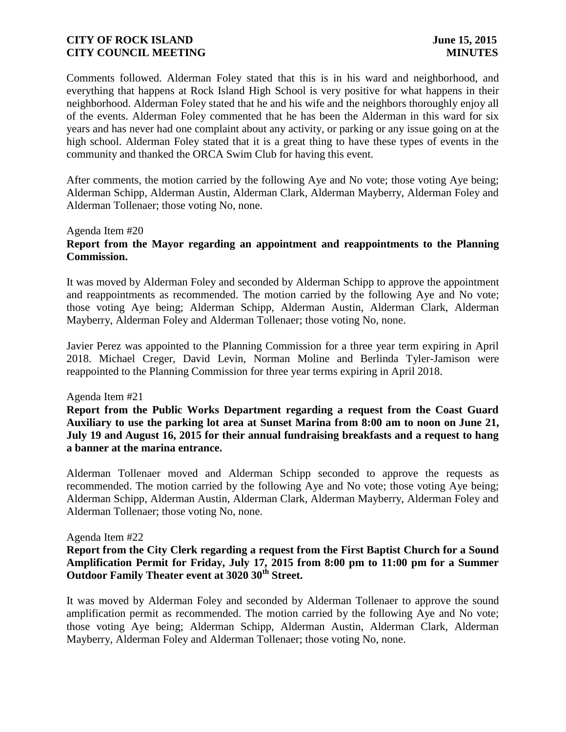Comments followed. Alderman Foley stated that this is in his ward and neighborhood, and everything that happens at Rock Island High School is very positive for what happens in their neighborhood. Alderman Foley stated that he and his wife and the neighbors thoroughly enjoy all of the events. Alderman Foley commented that he has been the Alderman in this ward for six years and has never had one complaint about any activity, or parking or any issue going on at the high school. Alderman Foley stated that it is a great thing to have these types of events in the community and thanked the ORCA Swim Club for having this event.

After comments, the motion carried by the following Aye and No vote; those voting Aye being; Alderman Schipp, Alderman Austin, Alderman Clark, Alderman Mayberry, Alderman Foley and Alderman Tollenaer; those voting No, none.

#### Agenda Item #20

# **Report from the Mayor regarding an appointment and reappointments to the Planning Commission.**

It was moved by Alderman Foley and seconded by Alderman Schipp to approve the appointment and reappointments as recommended. The motion carried by the following Aye and No vote; those voting Aye being; Alderman Schipp, Alderman Austin, Alderman Clark, Alderman Mayberry, Alderman Foley and Alderman Tollenaer; those voting No, none.

Javier Perez was appointed to the Planning Commission for a three year term expiring in April 2018. Michael Creger, David Levin, Norman Moline and Berlinda Tyler-Jamison were reappointed to the Planning Commission for three year terms expiring in April 2018.

### Agenda Item #21

**Report from the Public Works Department regarding a request from the Coast Guard Auxiliary to use the parking lot area at Sunset Marina from 8:00 am to noon on June 21, July 19 and August 16, 2015 for their annual fundraising breakfasts and a request to hang a banner at the marina entrance.**

Alderman Tollenaer moved and Alderman Schipp seconded to approve the requests as recommended. The motion carried by the following Aye and No vote; those voting Aye being; Alderman Schipp, Alderman Austin, Alderman Clark, Alderman Mayberry, Alderman Foley and Alderman Tollenaer; those voting No, none.

#### Agenda Item #22

# **Report from the City Clerk regarding a request from the First Baptist Church for a Sound Amplification Permit for Friday, July 17, 2015 from 8:00 pm to 11:00 pm for a Summer Outdoor Family Theater event at 3020 30th Street.**

It was moved by Alderman Foley and seconded by Alderman Tollenaer to approve the sound amplification permit as recommended. The motion carried by the following Aye and No vote; those voting Aye being; Alderman Schipp, Alderman Austin, Alderman Clark, Alderman Mayberry, Alderman Foley and Alderman Tollenaer; those voting No, none.